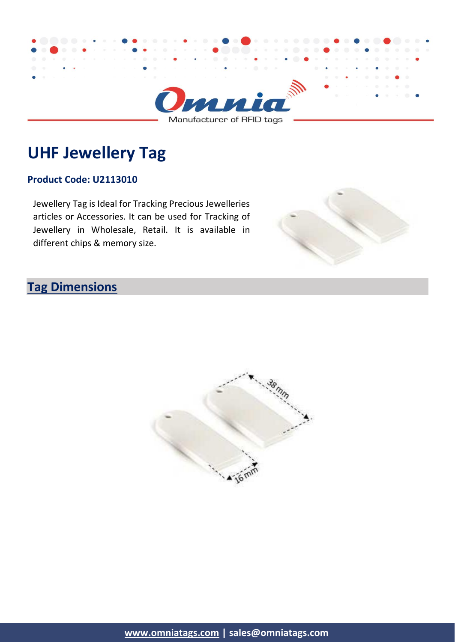

# **UHF Jewellery Tag**

#### **Product Code: U2113010**

Jewellery Tag is Ideal for Tracking Precious Jewelleries articles or Accessories. It can be used for Tracking of Jewellery in Wholesale, Retail. It is available in different chips & memory size.



### **Tag Dimensions**

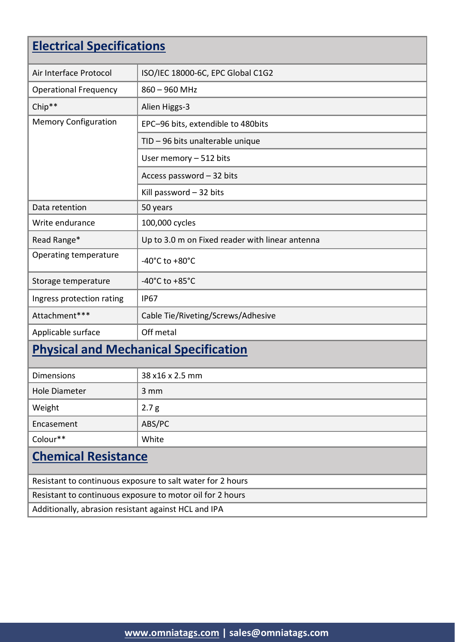# **Electrical Specifications**

| Air Interface Protocol                       | ISO/IEC 18000-6C, EPC Global C1G2               |  |
|----------------------------------------------|-------------------------------------------------|--|
| <b>Operational Frequency</b>                 | 860 - 960 MHz                                   |  |
| Chip**                                       | Alien Higgs-3                                   |  |
| <b>Memory Configuration</b>                  | EPC-96 bits, extendible to 480bits              |  |
|                                              | TID - 96 bits unalterable unique                |  |
|                                              | User memory - 512 bits                          |  |
|                                              | Access password - 32 bits                       |  |
|                                              | Kill password - 32 bits                         |  |
| Data retention                               | 50 years                                        |  |
| Write endurance                              | 100,000 cycles                                  |  |
| Read Range*                                  | Up to 3.0 m on Fixed reader with linear antenna |  |
| Operating temperature                        | -40 $^{\circ}$ C to +80 $^{\circ}$ C            |  |
| Storage temperature                          | -40 $^{\circ}$ C to +85 $^{\circ}$ C            |  |
| Ingress protection rating                    | <b>IP67</b>                                     |  |
| Attachment***                                | Cable Tie/Riveting/Screws/Adhesive              |  |
| Applicable surface                           | Off metal                                       |  |
| <b>Physical and Mechanical Specification</b> |                                                 |  |
|                                              |                                                 |  |
| <b>Dimensions</b>                            | 38 x16 x 2.5 mm                                 |  |
| <b>Hole Diameter</b>                         | 3 mm                                            |  |
| Weight                                       | 2.7 <sub>g</sub>                                |  |
| Encasement                                   | ABS/PC                                          |  |

#### **Chemical Resistance**

Colour\*\* White

Resistant to continuous exposure to salt water for 2 hours Resistant to continuous exposure to motor oil for 2 hours Additionally, abrasion resistant against HCL and IPA